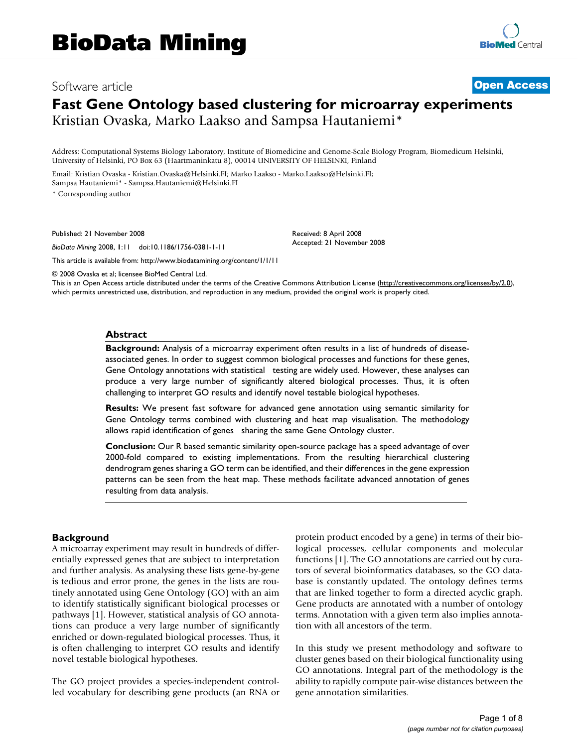# Software article **[Open Access](http://www.biomedcentral.com/info/about/charter/) Fast Gene Ontology based clustering for microarray experiments** Kristian Ovaska, Marko Laakso and Sampsa Hautaniemi\*

Address: Computational Systems Biology Laboratory, Institute of Biomedicine and Genome-Scale Biology Program, Biomedicum Helsinki, University of Helsinki, PO Box 63 (Haartmaninkatu 8), 00014 UNIVERSITY OF HELSINKI, Finland

Email: Kristian Ovaska - Kristian.Ovaska@Helsinki.FI; Marko Laakso - Marko.Laakso@Helsinki.FI; Sampsa Hautaniemi\* - Sampsa.Hautaniemi@Helsinki.FI

\* Corresponding author

Published: 21 November 2008

*BioData Mining* 2008, **1**:11 doi:10.1186/1756-0381-1-11

[This article is available from: http://www.biodatamining.org/content/1/1/11](http://www.biodatamining.org/content/1/1/11)

© 2008 Ovaska et al; licensee BioMed Central Ltd.

This is an Open Access article distributed under the terms of the Creative Commons Attribution License [\(http://creativecommons.org/licenses/by/2.0\)](http://creativecommons.org/licenses/by/2.0), which permits unrestricted use, distribution, and reproduction in any medium, provided the original work is properly cited.

Received: 8 April 2008 Accepted: 21 November 2008

### **Abstract**

**Background:** Analysis of a microarray experiment often results in a list of hundreds of diseaseassociated genes. In order to suggest common biological processes and functions for these genes, Gene Ontology annotations with statistical testing are widely used. However, these analyses can produce a very large number of significantly altered biological processes. Thus, it is often challenging to interpret GO results and identify novel testable biological hypotheses.

**Results:** We present fast software for advanced gene annotation using semantic similarity for Gene Ontology terms combined with clustering and heat map visualisation. The methodology allows rapid identification of genes sharing the same Gene Ontology cluster.

**Conclusion:** Our R based semantic similarity open-source package has a speed advantage of over 2000-fold compared to existing implementations. From the resulting hierarchical clustering dendrogram genes sharing a GO term can be identified, and their differences in the gene expression patterns can be seen from the heat map. These methods facilitate advanced annotation of genes resulting from data analysis.

### **Background**

A microarray experiment may result in hundreds of differentially expressed genes that are subject to interpretation and further analysis. As analysing these lists gene-by-gene is tedious and error prone, the genes in the lists are routinely annotated using Gene Ontology (GO) with an aim to identify statistically significant biological processes or pathways [1]. However, statistical analysis of GO annotations can produce a very large number of significantly enriched or down-regulated biological processes. Thus, it is often challenging to interpret GO results and identify novel testable biological hypotheses.

The GO project provides a species-independent controlled vocabulary for describing gene products (an RNA or protein product encoded by a gene) in terms of their biological processes, cellular components and molecular functions [1]. The GO annotations are carried out by curators of several bioinformatics databases, so the GO database is constantly updated. The ontology defines terms that are linked together to form a directed acyclic graph. Gene products are annotated with a number of ontology terms. Annotation with a given term also implies annotation with all ancestors of the term.

In this study we present methodology and software to cluster genes based on their biological functionality using GO annotations. Integral part of the methodology is the ability to rapidly compute pair-wise distances between the gene annotation similarities.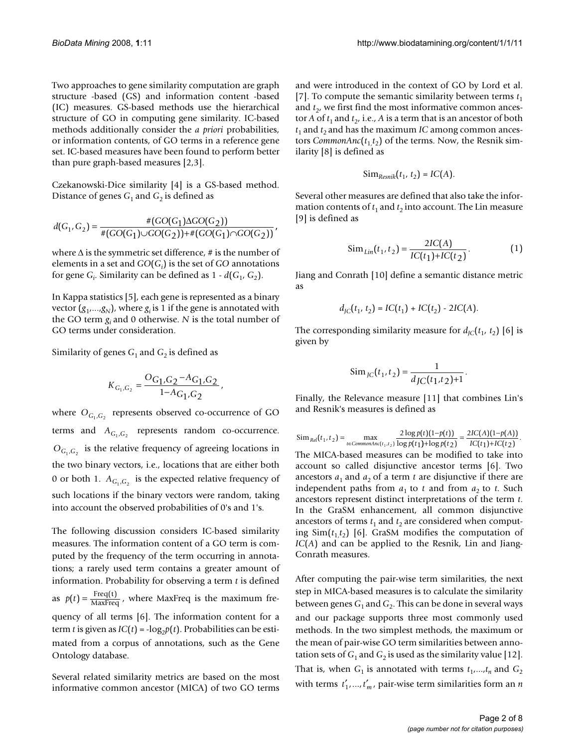Two approaches to gene similarity computation are graph structure -based (GS) and information content -based (IC) measures. GS-based methods use the hierarchical structure of GO in computing gene similarity. IC-based methods additionally consider the *a priori* probabilities, or information contents, of GO terms in a reference gene set. IC-based measures have been found to perform better than pure graph-based measures [2,3].

Czekanowski-Dice similarity [4] is a GS-based method. Distance of genes  $G_1$  and  $G_2$  is defined as

$$
d(G_1, G_2) = \frac{\#(GO(G_1)\Delta GO(G_2))}{\#(GO(G_1)\cup GO(G_2)) + \#(GO(G_1)\cap GO(G_2))}
$$
'

where  $\Delta$  is the symmetric set difference, # is the number of elements in a set and  $GO(G_i)$  is the set of  $GO$  annotations for gene  $G_i$ . Similarity can be defined as  $1 - d(G_1, G_2)$ .

In Kappa statistics [5], each gene is represented as a binary vector  $(g_1,...,g_N)$ , where  $g_i$  is 1 if the gene is annotated with the GO term *gi* and 0 otherwise. *N* is the total number of GO terms under consideration.

Similarity of genes  $G_1$  and  $G_2$  is defined as

$$
K_{G_1,G_2}=\frac{O_{G_1,G_2}-A_{G_1,G_2}}{1-A_{G_1,G_2}}\,,
$$

where  $\mathrm{O}_{\mathrm{G_1},\mathrm{G_2}}$  represents observed co-occurrence of GO terms and  $A_{G_1,G_2}$  represents random co-occurrence.  $O_{G_1,G_2}$  is the relative frequency of agreeing locations in the two binary vectors, i.e., locations that are either both 0 or both 1.  $A_{G_1,G_2}$  is the expected relative frequency of such locations if the binary vectors were random, taking into account the observed probabilities of 0's and 1's.

The following discussion considers IC-based similarity measures. The information content of a GO term is computed by the frequency of the term occurring in annotations; a rarely used term contains a greater amount of information. Probability for observing a term *t* is defined as  $p(t) = \frac{\text{Freq}(t)}{\text{MaxFreq}}$ , where MaxFreq is the maximum frequency of all terms [6]. The information content for a term *t* is given as  $IC(t) = -\log_2 p(t)$ . Probabilities can be estimated from a corpus of annotations, such as the Gene Ontology database.

Several related similarity metrics are based on the most informative common ancestor (MICA) of two GO terms

and were introduced in the context of GO by Lord et al. [7]. To compute the semantic similarity between terms  $t_1$ and  $t<sub>2</sub>$ , we first find the most informative common ancestor *A* of  $t_1$  and  $t_2$ , i.e., *A* is a term that is an ancestor of both  $t_1$  and  $t_2$  and has the maximum *IC* among common ancestors *CommonAnc*( $t_1$ , $t_2$ ) of the terms. Now, the Resnik similarity [8] is defined as

$$
Sim_{Resnik}(t_1, t_2) = IC(A).
$$

Several other measures are defined that also take the information contents of  $t_1$  and  $t_2$  into account. The Lin measure [9] is defined as

$$
\text{Sim}_{\text{Lin}}(t_1, t_2) = \frac{2IC(A)}{IC(t_1) + IC(t_2)}.\tag{1}
$$

Jiang and Conrath [10] define a semantic distance metric as

$$
d_{JC}(t_1, t_2) = IC(t_1) + IC(t_2) - 2IC(A).
$$

The corresponding similarity measure for  $d_{IC}(t_1, t_2)$  [6] is given by

$$
\operatorname{Sim}_{J\text{C}}(t_1, t_2) = \frac{1}{d_{J\text{C}}(t_1, t_2) + 1}.
$$

Finally, the Relevance measure [11] that combines Lin's and Resnik's measures is defined as

The MICA-based measures can be modified to take into account so called disjunctive ancestor terms [6]. Two ancestors  $a_1$  and  $a_2$  of a term  $t$  are disjunctive if there are independent paths from  $a_1$  to  $t$  and from  $a_2$  to  $t$ . Such ancestors represent distinct interpretations of the term *t*. In the GraSM enhancement, all common disjunctive ancestors of terms  $t_1$  and  $t_2$  are considered when computing  $\text{Sim}(t_1, t_2)$  [6]. GraSM modifies the computation of *IC*(*A*) and can be applied to the Resnik, Lin and Jiang-Conrath measures.  $\sin R_{rel}(t_1, t_2) = \max_{t \in CommonAncl(t_1, t_2)} \frac{2 \log p(t)(1-p(t))}{\log p(t_1) + \log p(t_2)}$  $2 \log p(t)$ (1 1  $=\max_{t \in CommonAnc(t_1, t_2)} \frac{2 \log p(t)(1-p(t))}{\log p(t_1) + \log p(t_2)}$  $\frac{f(t) (1 - p(t))}{f(t) + \log p(t_2)} = \frac{2IC(A)(1 - p(A))}{IC(t_1) + IC(t_2)}.$  $IC(A)(1-p(A$ 2)  $IC(t_1) + IC(t_1)$  $2IC(A)(1)$ 1)+ $IC(t_2)$ 

After computing the pair-wise term similarities, the next step in MICA-based measures is to calculate the similarity between genes  $G_1$  and  $G_2$ . This can be done in several ways and our package supports three most commonly used methods. In the two simplest methods, the maximum or the mean of pair-wise GO term similarities between annotation sets of  $G_1$  and  $G_2$  is used as the similarity value [12]. That is, when  $G_1$  is annotated with terms  $t_1, \ldots, t_n$  and  $G_2$ with terms  $t'_1, ..., t'_m$ , pair-wise term similarities form an *n*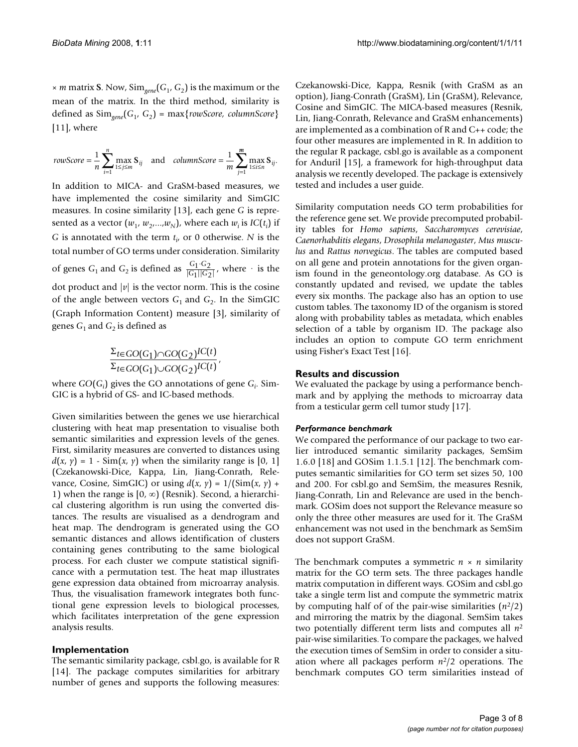$\times$  *m* matrix **S**. Now, Sim<sub>eene</sub>( $G_1$ ,  $G_2$ ) is the maximum or the mean of the matrix. In the third method, similarity is defined as Sim*gene*(*G*1, *G*2) = max{*rowScore, columnScore*} [11], where

$$
rowScore=\frac{1}{n}\sum_{i=1}^{n}\max_{1\leq j\leq m}S_{ij} \text{ and } columnScore=\frac{1}{m}\sum_{j=1}^{m}\max_{1\leq i\leq n}S_{ij}.
$$

In addition to MICA- and GraSM-based measures, we have implemented the cosine similarity and SimGIC measures. In cosine similarity [13], each gene *G* is represented as a vector  $(w_1, w_2, ..., w_N)$ , where each  $w_i$  is *IC*(*t<sub>i</sub>*) if *G* is annotated with the term  $t_i$ , or 0 otherwise. *N* is the total number of GO terms under consideration. Similarity of genes  $G_1$  and  $G_2$  is defined as  $\frac{G_1 \cdot G_2}{|G_1||G_2|}$ , where  $\cdot$  is the dot product and  $|v|$  is the vector norm. This is the cosine of the angle between vectors  $G_1$  and  $G_2$ . In the SimGIC (Graph Information Content) measure [3], similarity of genes  $G_1$  and  $G_2$  is defined as *G*1·G2<br>G1||G2  $1 \mid G_2$ ⋅  $|G_1||G_2|$ 

$$
\frac{\Sigma_{t \in GO(G_1) \cap GO(G_2)}IC(t)}{\Sigma_{t \in GO(G_1) \cup GO(G_2)}IC(t)},
$$

where  $GO(G_i)$  gives the GO annotations of gene  $G_i$ . Sim-GIC is a hybrid of GS- and IC-based methods.

Given similarities between the genes we use hierarchical clustering with heat map presentation to visualise both semantic similarities and expression levels of the genes. First, similarity measures are converted to distances using  $d(x, y) = 1 - \text{Sim}(x, y)$  when the similarity range is [0, 1] (Czekanowski-Dice, Kappa, Lin, Jiang-Conrath, Relevance, Cosine, SimGIC) or using  $d(x, y) = 1/(\text{Sim}(x, y) +$ 1) when the range is  $[0, \infty)$  (Resnik). Second, a hierarchical clustering algorithm is run using the converted distances. The results are visualised as a dendrogram and heat map. The dendrogram is generated using the GO semantic distances and allows identification of clusters containing genes contributing to the same biological process. For each cluster we compute statistical significance with a permutation test. The heat map illustrates gene expression data obtained from microarray analysis. Thus, the visualisation framework integrates both functional gene expression levels to biological processes, which facilitates interpretation of the gene expression analysis results.

# **Implementation**

The semantic similarity package, csbl.go, is available for R [14]. The package computes similarities for arbitrary number of genes and supports the following measures:

Czekanowski-Dice, Kappa, Resnik (with GraSM as an option), Jiang-Conrath (GraSM), Lin (GraSM), Relevance, Cosine and SimGIC. The MICA-based measures (Resnik, Lin, Jiang-Conrath, Relevance and GraSM enhancements) are implemented as a combination of R and C++ code; the four other measures are implemented in R. In addition to the regular R package, csbl.go is available as a component for Anduril [15], a framework for high-throughput data analysis we recently developed. The package is extensively tested and includes a user guide.

Similarity computation needs GO term probabilities for the reference gene set. We provide precomputed probability tables for *Homo sapiens*, *Saccharomyces cerevisiae*, *Caenorhabditis elegans*, *Drosophila melanogaster*, *Mus musculus* and *Rattus norvegicus*. The tables are computed based on all gene and protein annotations for the given organism found in the geneontology.org database. As GO is constantly updated and revised, we update the tables every six months. The package also has an option to use custom tables. The taxonomy ID of the organism is stored along with probability tables as metadata, which enables selection of a table by organism ID. The package also includes an option to compute GO term enrichment using Fisher's Exact Test [16].

# **Results and discussion**

We evaluated the package by using a performance benchmark and by applying the methods to microarray data from a testicular germ cell tumor study [17].

# *Performance benchmark*

We compared the performance of our package to two earlier introduced semantic similarity packages, SemSim 1.6.0 [18] and GOSim 1.1.5.1 [12]. The benchmark computes semantic similarities for GO term set sizes 50, 100 and 200. For csbl.go and SemSim, the measures Resnik, Jiang-Conrath, Lin and Relevance are used in the benchmark. GOSim does not support the Relevance measure so only the three other measures are used for it. The GraSM enhancement was not used in the benchmark as SemSim does not support GraSM.

The benchmark computes a symmetric *n* × *n* similarity matrix for the GO term sets. The three packages handle matrix computation in different ways. GOSim and csbl.go take a single term list and compute the symmetric matrix by computing half of of the pair-wise similarities (*n*2/2) and mirroring the matrix by the diagonal. SemSim takes two potentially different term lists and computes all *n*<sup>2</sup> pair-wise similarities. To compare the packages, we halved the execution times of SemSim in order to consider a situation where all packages perform *n*2/2 operations. The benchmark computes GO term similarities instead of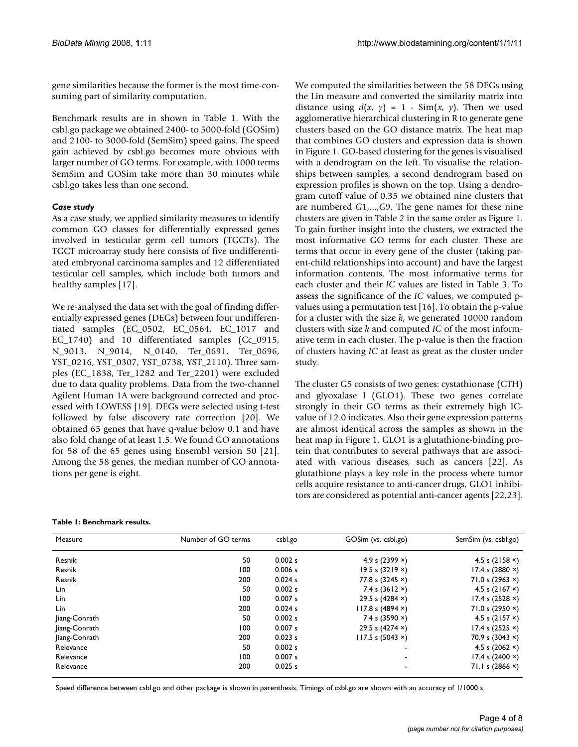gene similarities because the former is the most time-consuming part of similarity computation.

Benchmark results are in shown in Table 1. With the csbl.go package we obtained 2400- to 5000-fold (GOSim) and 2100- to 3000-fold (SemSim) speed gains. The speed gain achieved by csbl.go becomes more obvious with larger number of GO terms. For example, with 1000 terms SemSim and GOSim take more than 30 minutes while csbl.go takes less than one second.

# *Case study*

As a case study, we applied similarity measures to identify common GO classes for differentially expressed genes involved in testicular germ cell tumors (TGCTs). The TGCT microarray study here consists of five undifferentiated embryonal carcinoma samples and 12 differentiated testicular cell samples, which include both tumors and healthy samples [17].

We re-analysed the data set with the goal of finding differentially expressed genes (DEGs) between four undifferentiated samples (EC\_0502, EC\_0564, EC\_1017 and EC\_1740) and 10 differentiated samples (Cc\_0915, N\_9013, N\_9014, N\_0140, Ter\_0691, Ter\_0696, YST\_0216, YST\_0307, YST\_0738, YST\_2110). Three samples (EC\_1838, Ter\_1282 and Ter\_2201) were excluded due to data quality problems. Data from the two-channel Agilent Human 1A were background corrected and processed with LOWESS [19]. DEGs were selected using t-test followed by false discovery rate correction [20]. We obtained 65 genes that have q-value below 0.1 and have also fold change of at least 1.5. We found GO annotations for 58 of the 65 genes using Ensembl version 50 [21]. Among the 58 genes, the median number of GO annotations per gene is eight.

We computed the similarities between the 58 DEGs using the Lin measure and converted the similarity matrix into distance using  $d(x, y) = 1 - \text{Sim}(x, y)$ . Then we used agglomerative hierarchical clustering in R to generate gene clusters based on the GO distance matrix. The heat map that combines GO clusters and expression data is shown in Figure 1. GO-based clustering for the genes is visualised with a dendrogram on the left. To visualise the relationships between samples, a second dendrogram based on expression profiles is shown on the top. Using a dendrogram cutoff value of 0.35 we obtained nine clusters that are numbered *G*1,...,*G*9. The gene names for these nine clusters are given in Table 2 in the same order as Figure 1. To gain further insight into the clusters, we extracted the most informative GO terms for each cluster. These are terms that occur in every gene of the cluster (taking parent-child relationships into account) and have the largest information contents. The most informative terms for each cluster and their *IC* values are listed in Table 3. To assess the significance of the *IC* values, we computed pvalues using a permutation test [16]. To obtain the p-value for a cluster with the size *k*, we generated 10000 random clusters with size *k* and computed *IC* of the most informative term in each cluster. The p-value is then the fraction of clusters having *IC* at least as great as the cluster under study.

The cluster G5 consists of two genes: cystathionase (CTH) and glyoxalase I (GLO1). These two genes correlate strongly in their GO terms as their extremely high ICvalue of 12.0 indicates. Also their gene expression patterns are almost identical across the samples as shown in the heat map in Figure 1. GLO1 is a glutathione-binding protein that contributes to several pathways that are associated with various diseases, such as cancers [22]. As glutathione plays a key role in the process where tumor cells acquire resistance to anti-cancer drugs, GLO1 inhibitors are considered as potential anti-cancer agents [22,23].

#### **Table 1: Benchmark results.**

| Measure       | Number of GO terms | csbl.go | GOSim (vs. csbl.go) | SemSim (vs. csbl.go)<br>4.5 s $(2158 x)$ |
|---------------|--------------------|---------|---------------------|------------------------------------------|
| Resnik        | 50                 | 0.002 s | 4.9 s $(2399 x)$    |                                          |
| Resnik        | 100                | 0.006 s | 19.5 s $(3219 x)$   | 17.4 s $(2880 x)$                        |
| Resnik        | 200                | 0.024 s | 77.8 s $(3245 x)$   | 71.0 s $(2963 x)$                        |
| Lin           | 50                 | 0.002 s | 7.4 s $(3612 x)$    | 4.5 s $(2167 x)$                         |
| Lin           | 100                | 0.007 s | 29.5 s $(4284 x)$   | 17.4 s $(2528 x)$                        |
| Lin           | 200                | 0.024 s | 117.8 s (4894 x)    | 71.0 s $(2950 x)$                        |
| Jiang-Conrath | 50                 | 0.002 s | 7.4 s $(3590 x)$    | 4.5 s $(2157 x)$                         |
| Jiang-Conrath | 100                | 0.007 s | 29.5 s $(4274 x)$   | 17.4 s (2525 x)                          |
| Jiang-Conrath | 200                | 0.023 s | 117.5 s (5043 x)    | 70.9 s $(3043 x)$                        |
| Relevance     | 50                 | 0.002 s |                     | 4.5 s $(2062 x)$                         |
| Relevance     | 100                | 0.007 s |                     | 17.4 s $(2400 x)$                        |
| Relevance     | 200                | 0.025 s |                     | 71.1 s $(2866 x)$                        |

Speed difference between csbl.go and other package is shown in parenthesis. Timings of csbl.go are shown with an accuracy of 1/1000 s.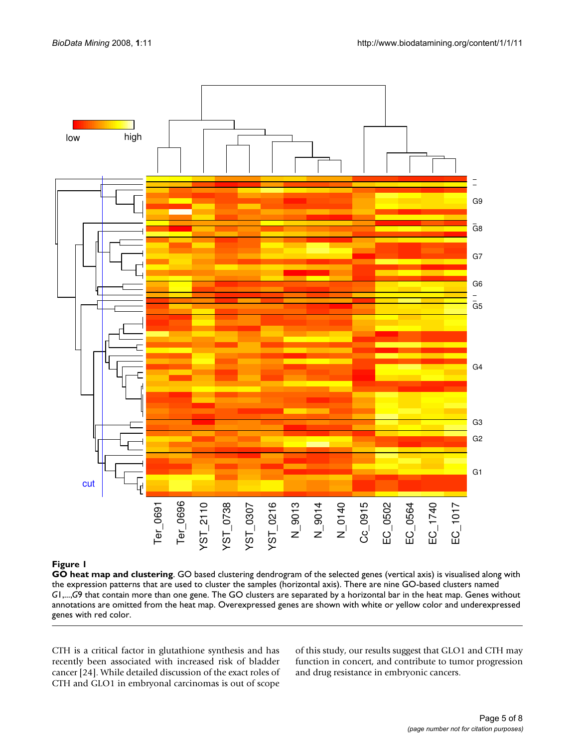

# **Figure 1**

**GO heat map and clustering**. GO based clustering dendrogram of the selected genes (vertical axis) is visualised along with the expression patterns that are used to cluster the samples (horizontal axis). There are nine GO-based clusters named *G*1,...,*G*9 that contain more than one gene. The GO clusters are separated by a horizontal bar in the heat map. Genes without annotations are omitted from the heat map. Overexpressed genes are shown with white or yellow color and underexpressed genes with red color.

CTH is a critical factor in glutathione synthesis and has recently been associated with increased risk of bladder cancer [24]. While detailed discussion of the exact roles of CTH and GLO1 in embryonal carcinomas is out of scope of this study, our results suggest that GLO1 and CTH may function in concert, and contribute to tumor progression and drug resistance in embryonic cancers.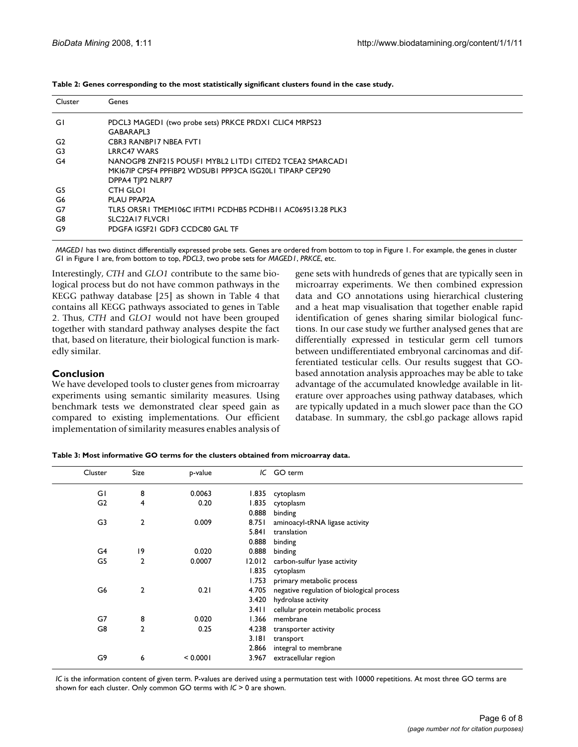| Cluster | Genes                                                      |
|---------|------------------------------------------------------------|
|         |                                                            |
| GI      | PDCL3 MAGED1 (two probe sets) PRKCE PRDX1 CLIC4 MRPS23     |
|         | GABARAPL3                                                  |
| G2      | CBR3 RANBPI7 NBEA FVT1                                     |
| G3      | <b>LRRC47 WARS</b>                                         |
| G4      | NANOGP8 ZNF215 POUSFI MYBL2 LITDI CITED2 TCEA2 SMARCADI    |
|         | MK167IP CPSF4 PPFIBP2 WDSUB1 PPP3CA ISG20LI TIPARP CEP290  |
|         | DPPA4 TJP2 NLRP7                                           |
| G5      | <b>CTH GLOI</b>                                            |
| G6      | PLAU PPAP2A                                                |
| G7      | TLR5 OR5R1 TMEM106C IFITM1 PCDHB5 PCDHB11 AC069513.28 PLK3 |
| G8      | SLC22A17 FLVCR1                                            |
| G9      | PDGFA IGSF21 GDF3 CCDC80 GAL TF                            |
|         |                                                            |

**Table 2: Genes corresponding to the most statistically significant clusters found in the case study.** 

*MAGED1* has two distinct differentially expressed probe sets. Genes are ordered from bottom to top in Figure 1. For example, the genes in cluster *G*1 in Figure 1 are, from bottom to top, *PDCL3*, two probe sets for *MAGED1*, *PRKCE*, etc.

Interestingly, *CTH* and *GLO1* contribute to the same biological process but do not have common pathways in the KEGG pathway database [25] as shown in Table 4 that contains all KEGG pathways associated to genes in Table 2. Thus, *CTH* and *GLO1* would not have been grouped together with standard pathway analyses despite the fact that, based on literature, their biological function is markedly similar.

### **Conclusion**

We have developed tools to cluster genes from microarray experiments using semantic similarity measures. Using benchmark tests we demonstrated clear speed gain as compared to existing implementations. Our efficient implementation of similarity measures enables analysis of gene sets with hundreds of genes that are typically seen in microarray experiments. We then combined expression data and GO annotations using hierarchical clustering and a heat map visualisation that together enable rapid identification of genes sharing similar biological functions. In our case study we further analysed genes that are differentially expressed in testicular germ cell tumors between undifferentiated embryonal carcinomas and differentiated testicular cells. Our results suggest that GObased annotation analysis approaches may be able to take advantage of the accumulated knowledge available in literature over approaches using pathway databases, which are typically updated in a much slower pace than the GO database. In summary, the csbl.go package allows rapid

**Table 3: Most informative GO terms for the clusters obtained from microarray data.** 

| Cluster        | Size           | p-value  |         | IC GO term                                |
|----------------|----------------|----------|---------|-------------------------------------------|
| GI             | 8              | 0.0063   | 1.835   | cytoplasm                                 |
| G <sub>2</sub> | 4              | 0.20     | 1.835   | cytoplasm                                 |
|                |                |          | 0.888   | binding                                   |
| G3             | 2              | 0.009    | 8.751   | aminoacyl-tRNA ligase activity            |
|                |                |          | 5.841   | translation                               |
|                |                |          | 0.888   | binding                                   |
| G4             | 9              | 0.020    | 0.888   | binding                                   |
| G5             | 2              | 0.0007   | 12.012  | carbon-sulfur lyase activity              |
|                |                |          | 1.835   | cytoplasm                                 |
|                |                |          | 1.753   | primary metabolic process                 |
| G6             | $\overline{2}$ | 0.21     | 4.705   | negative regulation of biological process |
|                |                |          | 3.420   | hydrolase activity                        |
|                |                |          | 3.4 I I | cellular protein metabolic process        |
| G7             | 8              | 0.020    | 1.366   | membrane                                  |
| G8             | $\overline{2}$ | 0.25     | 4.238   | transporter activity                      |
|                |                |          | 3.181   | transport                                 |
|                |                |          | 2.866   | integral to membrane                      |
| G9             | 6              | < 0.0001 | 3.967   | extracellular region                      |

*IC* is the information content of given term. P-values are derived using a permutation test with 10000 repetitions. At most three GO terms are shown for each cluster. Only common GO terms with *IC* > 0 are shown.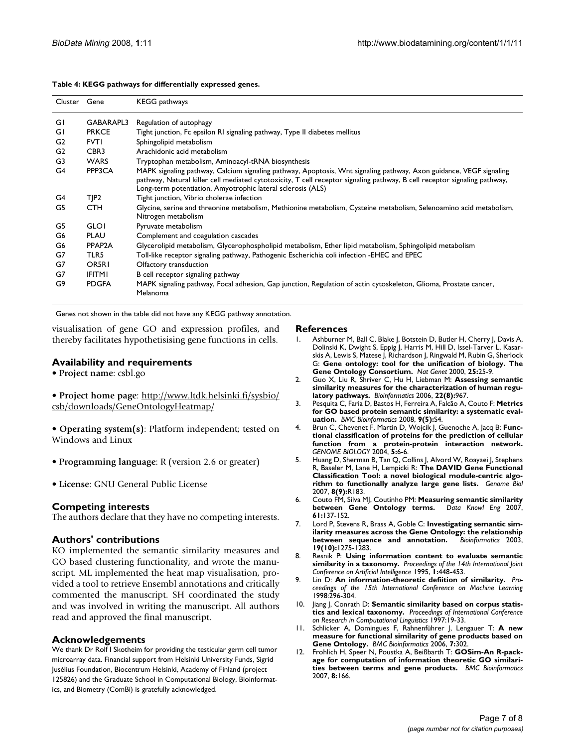| Cluster Gene   |                  | <b>KEGG</b> pathways                                                                                                                                                                                                                                                                                           |
|----------------|------------------|----------------------------------------------------------------------------------------------------------------------------------------------------------------------------------------------------------------------------------------------------------------------------------------------------------------|
| GI             | GABARAPL3        | Regulation of autophagy                                                                                                                                                                                                                                                                                        |
| GI             | <b>PRKCE</b>     | Tight junction, Fc epsilon RI signaling pathway, Type II diabetes mellitus                                                                                                                                                                                                                                     |
| G <sub>2</sub> | <b>FVT1</b>      | Sphingolipid metabolism                                                                                                                                                                                                                                                                                        |
| G <sub>2</sub> | CBR <sub>3</sub> | Arachidonic acid metabolism                                                                                                                                                                                                                                                                                    |
| G3             | <b>WARS</b>      | Tryptophan metabolism, Aminoacyl-tRNA biosynthesis                                                                                                                                                                                                                                                             |
| G4             | PPP3CA           | MAPK signaling pathway, Calcium signaling pathway, Apoptosis, Wnt signaling pathway, Axon guidance, VEGF signaling<br>pathway, Natural killer cell mediated cytotoxicity, T cell receptor signaling pathway, B cell receptor signaling pathway,<br>Long-term potentiation, Amyotrophic lateral sclerosis (ALS) |
| G4             | TJP2             | Tight junction, Vibrio cholerae infection                                                                                                                                                                                                                                                                      |
| G5             | CTH              | Glycine, serine and threonine metabolism, Methionine metabolism, Cysteine metabolism, Selenoamino acid metabolism,<br>Nitrogen metabolism                                                                                                                                                                      |
| G5             | <b>GLO1</b>      | Pyruvate metabolism                                                                                                                                                                                                                                                                                            |
| G6             | <b>PLAU</b>      | Complement and coagulation cascades                                                                                                                                                                                                                                                                            |
| G6             | PPAP2A           | Glycerolipid metabolism, Glycerophospholipid metabolism, Ether lipid metabolism, Sphingolipid metabolism                                                                                                                                                                                                       |
| G7             | TLR5             | Toll-like receptor signaling pathway, Pathogenic Escherichia coli infection -EHEC and EPEC                                                                                                                                                                                                                     |
| G7             | OR5R1            | Olfactory transduction                                                                                                                                                                                                                                                                                         |
| G7             | <b>IFITMI</b>    | B cell receptor signaling pathway                                                                                                                                                                                                                                                                              |
| G9             | <b>PDGFA</b>     | MAPK signaling pathway, Focal adhesion, Gap junction, Regulation of actin cytoskeleton, Glioma, Prostate cancer,<br>Melanoma                                                                                                                                                                                   |

**Table 4: KEGG pathways for differentially expressed genes.** 

Genes not shown in the table did not have any KEGG pathway annotation.

visualisation of gene GO and expression profiles, and thereby facilitates hypothetisising gene functions in cells.

# **Availability and requirements**

- **Project name**: csbl.go
- **Project home page**: [http://www.ltdk.helsinki.fi/sysbio/](http://www.ltdk.helsinki.fi/sysbio/csb/downloads/GeneOntologyHeatmap/) [csb/downloads/GeneOntologyHeatmap/](http://www.ltdk.helsinki.fi/sysbio/csb/downloads/GeneOntologyHeatmap/)
- **Operating system(s)**: Platform independent; tested on Windows and Linux
- **Programming language**: R (version 2.6 or greater)
- **License**: GNU General Public License

# **Competing interests**

The authors declare that they have no competing interests.

# **Authors' contributions**

KO implemented the semantic similarity measures and GO based clustering functionality, and wrote the manuscript. ML implemented the heat map visualisation, provided a tool to retrieve Ensembl annotations and critically commented the manuscript. SH coordinated the study and was involved in writing the manuscript. All authors read and approved the final manuscript.

# **Acknowledgements**

We thank Dr Rolf I Skotheim for providing the testicular germ cell tumor microarray data. Financial support from Helsinki University Funds, Sigrid Jusélius Foundation, Biocentrum Helsinki, Academy of Finland (project 125826) and the Graduate School in Computational Biology, Bioinformatics, and Biometry (ComBi) is gratefully acknowledged.

#### **References**

- 1. Ashburner M, Ball C, Blake J, Botstein D, Butler H, Cherry J, Davis A, Dolinski K, Dwight S, Eppig J, Harris M, Hill D, Issel-Tarver L, Kasarskis A, Lewis S, Matese J, Richardson J, Ringwald M, Rubin G, Sherlock G: **[Gene ontology: tool for the unification of biology. The](http://www.ncbi.nlm.nih.gov/entrez/query.fcgi?cmd=Retrieve&db=PubMed&dopt=Abstract&list_uids=10802651) [Gene Ontology Consortium.](http://www.ncbi.nlm.nih.gov/entrez/query.fcgi?cmd=Retrieve&db=PubMed&dopt=Abstract&list_uids=10802651)** *Nat Genet* 2000, **25:**25-9.
- 2. Guo X, Liu R, Shriver C, Hu H, Liebman M: **[Assessing semantic](http://www.ncbi.nlm.nih.gov/entrez/query.fcgi?cmd=Retrieve&db=PubMed&dopt=Abstract&list_uids=16492685) [similarity measures for the characterization of human regu](http://www.ncbi.nlm.nih.gov/entrez/query.fcgi?cmd=Retrieve&db=PubMed&dopt=Abstract&list_uids=16492685)[latory pathways.](http://www.ncbi.nlm.nih.gov/entrez/query.fcgi?cmd=Retrieve&db=PubMed&dopt=Abstract&list_uids=16492685)** *Bioinformatics* 2006, **22(8):**967.
- 3. Pesquita C, Faria D, Bastos H, Ferreira A, Falcão A, Couto F: **[Metrics](http://www.ncbi.nlm.nih.gov/entrez/query.fcgi?cmd=Retrieve&db=PubMed&dopt=Abstract&list_uids=18460186) [for GO based protein semantic similarity: a systematic eval](http://www.ncbi.nlm.nih.gov/entrez/query.fcgi?cmd=Retrieve&db=PubMed&dopt=Abstract&list_uids=18460186)[uation.](http://www.ncbi.nlm.nih.gov/entrez/query.fcgi?cmd=Retrieve&db=PubMed&dopt=Abstract&list_uids=18460186)** *BMC Bioinformatics* 2008, **9(5):**S4.
- 4. Brun C, Chevenet F, Martin D, Wojcik J, Guenoche A, Jacq B: **Functional classification of proteins for the prediction of cellular function from a protein-protein interaction network.** *GENOME BIOLOGY* 2004, **5:**6-6.
- 5. Huang D, Sherman B, Tan Q, Collins J, Alvord W, Roayaei J, Stephens R, Baseler M, Lane H, Lempicki R: **[The DAVID Gene Functional](http://www.ncbi.nlm.nih.gov/entrez/query.fcgi?cmd=Retrieve&db=PubMed&dopt=Abstract&list_uids=17784955) [Classification Tool: a novel biological module-centric algo](http://www.ncbi.nlm.nih.gov/entrez/query.fcgi?cmd=Retrieve&db=PubMed&dopt=Abstract&list_uids=17784955)[rithm to functionally analyze large gene lists.](http://www.ncbi.nlm.nih.gov/entrez/query.fcgi?cmd=Retrieve&db=PubMed&dopt=Abstract&list_uids=17784955)** *Genome Biol* 2007, **8(9):**R183.
- 6. Couto FM, Silva MJ, Coutinho PM: **Measuring semantic similarity between Gene Ontology terms. 61:**137-152.
- 7. Lord P, Stevens R, Brass A, Goble C: **[Investigating semantic sim](http://www.ncbi.nlm.nih.gov/entrez/query.fcgi?cmd=Retrieve&db=PubMed&dopt=Abstract&list_uids=12835272)[ilarity measures across the Gene Ontology: the relationship](http://www.ncbi.nlm.nih.gov/entrez/query.fcgi?cmd=Retrieve&db=PubMed&dopt=Abstract&list_uids=12835272)** [between sequence and annotation.](http://www.ncbi.nlm.nih.gov/entrez/query.fcgi?cmd=Retrieve&db=PubMed&dopt=Abstract&list_uids=12835272) **19(10):**1275-1283.
- 8. Resnik P: **Using information content to evaluate semantic similarity in a taxonomy.** *Proceedings of the 14th International Joint Conference on Artificial Intelligence* 1995, **1:**448-453.
- 9. Lin D: **An information-theoretic defiition of similarity.** *Proceedings of the 15th International Conference on Machine Learning* 1998:296-304.
- 10. Jiang J, Conrath D: **Semantic similarity based on corpus statistics and lexical taxonomy.** *Proceedings of International Conference on Research in Computational Linguistics* 1997:19-33.
- 11. Schlicker A, Domingues F, Rahnenführer J, Lengauer T: **[A new](http://www.ncbi.nlm.nih.gov/entrez/query.fcgi?cmd=Retrieve&db=PubMed&dopt=Abstract&list_uids=16776819) [measure for functional similarity of gene products based on](http://www.ncbi.nlm.nih.gov/entrez/query.fcgi?cmd=Retrieve&db=PubMed&dopt=Abstract&list_uids=16776819) [Gene Ontology.](http://www.ncbi.nlm.nih.gov/entrez/query.fcgi?cmd=Retrieve&db=PubMed&dopt=Abstract&list_uids=16776819)** *BMC Bioinformatics* 2006, **7:**302.
- 12. Frohlich H, Speer N, Poustka A, Beißbarth T: **[GOSim-An R-pack](http://www.ncbi.nlm.nih.gov/entrez/query.fcgi?cmd=Retrieve&db=PubMed&dopt=Abstract&list_uids=17519018)[age for computation of information theoretic GO similari](http://www.ncbi.nlm.nih.gov/entrez/query.fcgi?cmd=Retrieve&db=PubMed&dopt=Abstract&list_uids=17519018)[ties between terms and gene products.](http://www.ncbi.nlm.nih.gov/entrez/query.fcgi?cmd=Retrieve&db=PubMed&dopt=Abstract&list_uids=17519018)** *BMC Bioinformatics* 2007, **8:**166.